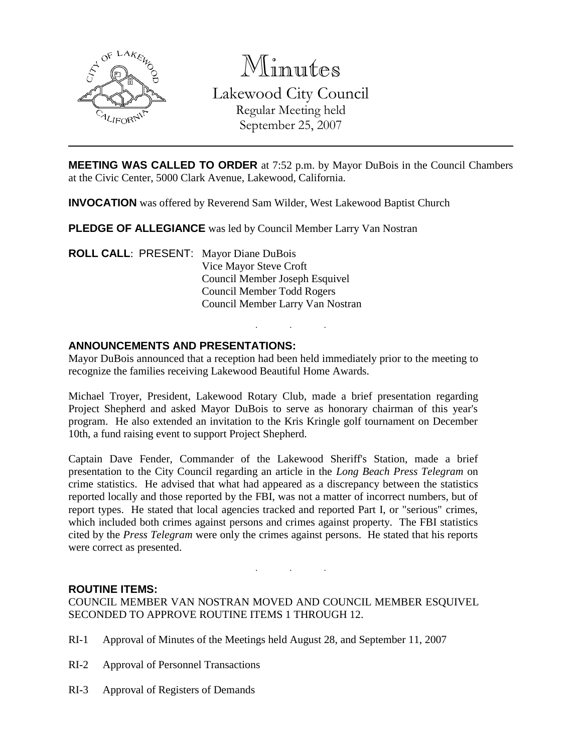

Minutes Lakewood City Council Regular Meeting held September 25, 2007

**MEETING WAS CALLED TO ORDER** at 7:52 p.m. by Mayor DuBois in the Council Chambers at the Civic Center, 5000 Clark Avenue, Lakewood, California.

**INVOCATION** was offered by Reverend Sam Wilder, West Lakewood Baptist Church

**PLEDGE OF ALLEGIANCE** was led by Council Member Larry Van Nostran

**ROLL CALL**: PRESENT: Mayor Diane DuBois Vice Mayor Steve Croft Council Member Joseph Esquivel Council Member Todd Rogers Council Member Larry Van Nostran

#### **ANNOUNCEMENTS AND PRESENTATIONS:**

Mayor DuBois announced that a reception had been held immediately prior to the meeting to recognize the families receiving Lakewood Beautiful Home Awards.

. . .

Michael Troyer, President, Lakewood Rotary Club, made a brief presentation regarding Project Shepherd and asked Mayor DuBois to serve as honorary chairman of this year's program. He also extended an invitation to the Kris Kringle golf tournament on December 10th, a fund raising event to support Project Shepherd.

Captain Dave Fender, Commander of the Lakewood Sheriff's Station, made a brief presentation to the City Council regarding an article in the *Long Beach Press Telegram* on crime statistics. He advised that what had appeared as a discrepancy between the statistics reported locally and those reported by the FBI, was not a matter of incorrect numbers, but of report types. He stated that local agencies tracked and reported Part I, or "serious" crimes, which included both crimes against persons and crimes against property. The FBI statistics cited by the *Press Telegram* were only the crimes against persons. He stated that his reports were correct as presented.

#### **ROUTINE ITEMS:**

COUNCIL MEMBER VAN NOSTRAN MOVED AND COUNCIL MEMBER ESQUIVEL SECONDED TO APPROVE ROUTINE ITEMS 1 THROUGH 12.

. . .

- RI-1 Approval of Minutes of the Meetings held August 28, and September 11, 2007
- RI-2 Approval of Personnel Transactions
- RI-3 Approval of Registers of Demands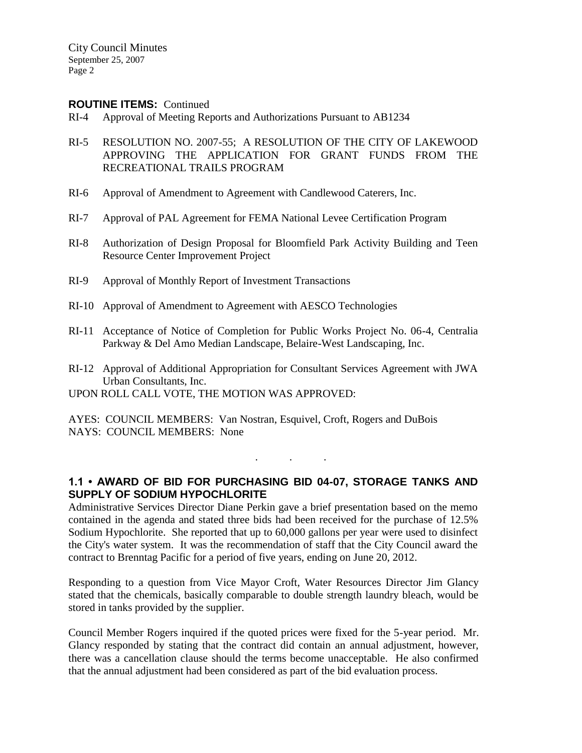City Council Minutes September 25, 2007 Page 2

#### **ROUTINE ITEMS:** Continued

- RI-4 Approval of Meeting Reports and Authorizations Pursuant to AB1234
- RI-5 RESOLUTION NO. 2007-55; A RESOLUTION OF THE CITY OF LAKEWOOD APPROVING THE APPLICATION FOR GRANT FUNDS FROM THE RECREATIONAL TRAILS PROGRAM
- RI-6 Approval of Amendment to Agreement with Candlewood Caterers, Inc.
- RI-7 Approval of PAL Agreement for FEMA National Levee Certification Program
- RI-8 Authorization of Design Proposal for Bloomfield Park Activity Building and Teen Resource Center Improvement Project
- RI-9 Approval of Monthly Report of Investment Transactions
- RI-10 Approval of Amendment to Agreement with AESCO Technologies
- RI-11 Acceptance of Notice of Completion for Public Works Project No. 06-4, Centralia Parkway & Del Amo Median Landscape, Belaire-West Landscaping, Inc.
- RI-12 Approval of Additional Appropriation for Consultant Services Agreement with JWA Urban Consultants, Inc.
- UPON ROLL CALL VOTE, THE MOTION WAS APPROVED:
- AYES: COUNCIL MEMBERS: Van Nostran, Esquivel, Croft, Rogers and DuBois NAYS: COUNCIL MEMBERS: None

## **1.1 • AWARD OF BID FOR PURCHASING BID 04-07, STORAGE TANKS AND SUPPLY OF SODIUM HYPOCHLORITE**

. . .

Administrative Services Director Diane Perkin gave a brief presentation based on the memo contained in the agenda and stated three bids had been received for the purchase of 12.5% Sodium Hypochlorite. She reported that up to 60,000 gallons per year were used to disinfect the City's water system. It was the recommendation of staff that the City Council award the contract to Brenntag Pacific for a period of five years, ending on June 20, 2012.

Responding to a question from Vice Mayor Croft, Water Resources Director Jim Glancy stated that the chemicals, basically comparable to double strength laundry bleach, would be stored in tanks provided by the supplier.

Council Member Rogers inquired if the quoted prices were fixed for the 5-year period. Mr. Glancy responded by stating that the contract did contain an annual adjustment, however, there was a cancellation clause should the terms become unacceptable. He also confirmed that the annual adjustment had been considered as part of the bid evaluation process.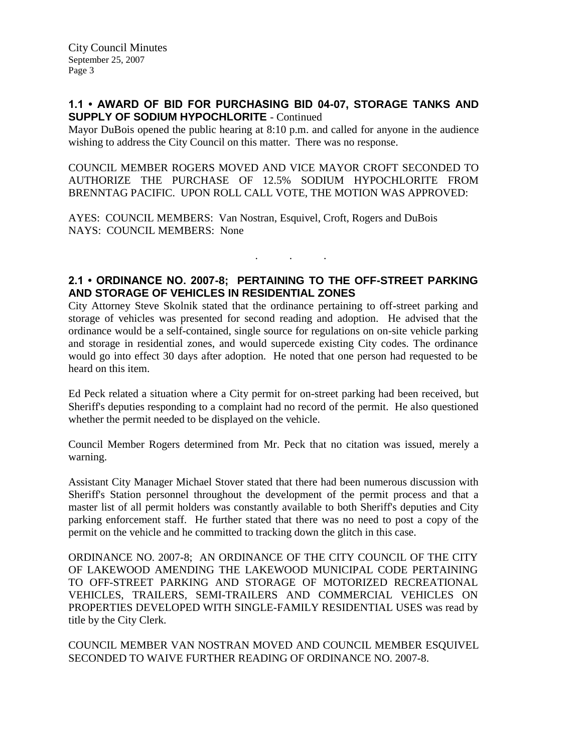#### **1.1 • AWARD OF BID FOR PURCHASING BID 04-07, STORAGE TANKS AND SUPPLY OF SODIUM HYPOCHLORITE** - Continued

Mayor DuBois opened the public hearing at 8:10 p.m. and called for anyone in the audience wishing to address the City Council on this matter. There was no response.

COUNCIL MEMBER ROGERS MOVED AND VICE MAYOR CROFT SECONDED TO AUTHORIZE THE PURCHASE OF 12.5% SODIUM HYPOCHLORITE FROM BRENNTAG PACIFIC. UPON ROLL CALL VOTE, THE MOTION WAS APPROVED:

AYES: COUNCIL MEMBERS: Van Nostran, Esquivel, Croft, Rogers and DuBois NAYS: COUNCIL MEMBERS: None

## **2.1 • ORDINANCE NO. 2007-8; PERTAINING TO THE OFF-STREET PARKING AND STORAGE OF VEHICLES IN RESIDENTIAL ZONES**

. . .

City Attorney Steve Skolnik stated that the ordinance pertaining to off-street parking and storage of vehicles was presented for second reading and adoption. He advised that the ordinance would be a self-contained, single source for regulations on on-site vehicle parking and storage in residential zones, and would supercede existing City codes. The ordinance would go into effect 30 days after adoption. He noted that one person had requested to be heard on this item.

Ed Peck related a situation where a City permit for on-street parking had been received, but Sheriff's deputies responding to a complaint had no record of the permit. He also questioned whether the permit needed to be displayed on the vehicle.

Council Member Rogers determined from Mr. Peck that no citation was issued, merely a warning.

Assistant City Manager Michael Stover stated that there had been numerous discussion with Sheriff's Station personnel throughout the development of the permit process and that a master list of all permit holders was constantly available to both Sheriff's deputies and City parking enforcement staff. He further stated that there was no need to post a copy of the permit on the vehicle and he committed to tracking down the glitch in this case.

ORDINANCE NO. 2007-8; AN ORDINANCE OF THE CITY COUNCIL OF THE CITY OF LAKEWOOD AMENDING THE LAKEWOOD MUNICIPAL CODE PERTAINING TO OFF-STREET PARKING AND STORAGE OF MOTORIZED RECREATIONAL VEHICLES, TRAILERS, SEMI-TRAILERS AND COMMERCIAL VEHICLES ON PROPERTIES DEVELOPED WITH SINGLE-FAMILY RESIDENTIAL USES was read by title by the City Clerk.

COUNCIL MEMBER VAN NOSTRAN MOVED AND COUNCIL MEMBER ESQUIVEL SECONDED TO WAIVE FURTHER READING OF ORDINANCE NO. 2007-8.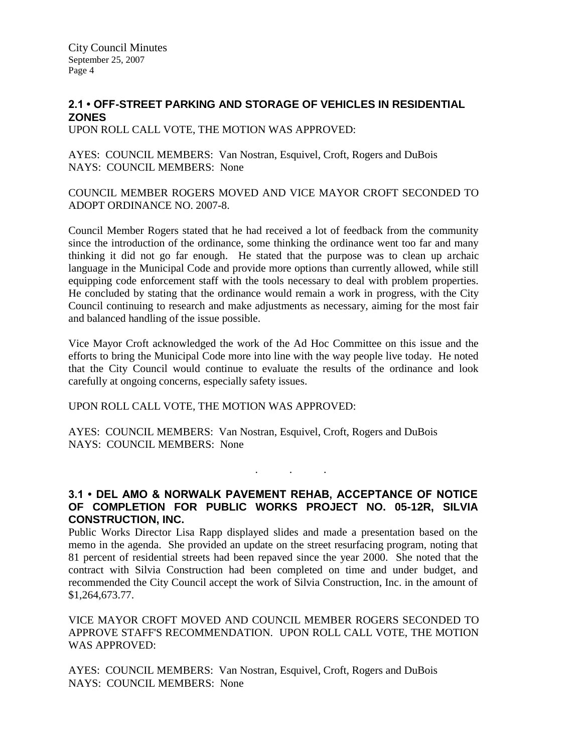# **2.1 • OFF-STREET PARKING AND STORAGE OF VEHICLES IN RESIDENTIAL ZONES**

UPON ROLL CALL VOTE, THE MOTION WAS APPROVED:

AYES: COUNCIL MEMBERS: Van Nostran, Esquivel, Croft, Rogers and DuBois NAYS: COUNCIL MEMBERS: None

COUNCIL MEMBER ROGERS MOVED AND VICE MAYOR CROFT SECONDED TO ADOPT ORDINANCE NO. 2007-8.

Council Member Rogers stated that he had received a lot of feedback from the community since the introduction of the ordinance, some thinking the ordinance went too far and many thinking it did not go far enough. He stated that the purpose was to clean up archaic language in the Municipal Code and provide more options than currently allowed, while still equipping code enforcement staff with the tools necessary to deal with problem properties. He concluded by stating that the ordinance would remain a work in progress, with the City Council continuing to research and make adjustments as necessary, aiming for the most fair and balanced handling of the issue possible.

Vice Mayor Croft acknowledged the work of the Ad Hoc Committee on this issue and the efforts to bring the Municipal Code more into line with the way people live today. He noted that the City Council would continue to evaluate the results of the ordinance and look carefully at ongoing concerns, especially safety issues.

UPON ROLL CALL VOTE, THE MOTION WAS APPROVED:

AYES: COUNCIL MEMBERS: Van Nostran, Esquivel, Croft, Rogers and DuBois NAYS: COUNCIL MEMBERS: None

#### **3.1 • DEL AMO & NORWALK PAVEMENT REHAB, ACCEPTANCE OF NOTICE OF COMPLETION FOR PUBLIC WORKS PROJECT NO. 05-12R, SILVIA CONSTRUCTION, INC.**

. . .

Public Works Director Lisa Rapp displayed slides and made a presentation based on the memo in the agenda. She provided an update on the street resurfacing program, noting that 81 percent of residential streets had been repaved since the year 2000. She noted that the contract with Silvia Construction had been completed on time and under budget, and recommended the City Council accept the work of Silvia Construction, Inc. in the amount of \$1,264,673.77.

VICE MAYOR CROFT MOVED AND COUNCIL MEMBER ROGERS SECONDED TO APPROVE STAFF'S RECOMMENDATION. UPON ROLL CALL VOTE, THE MOTION WAS APPROVED:

AYES: COUNCIL MEMBERS: Van Nostran, Esquivel, Croft, Rogers and DuBois NAYS: COUNCIL MEMBERS: None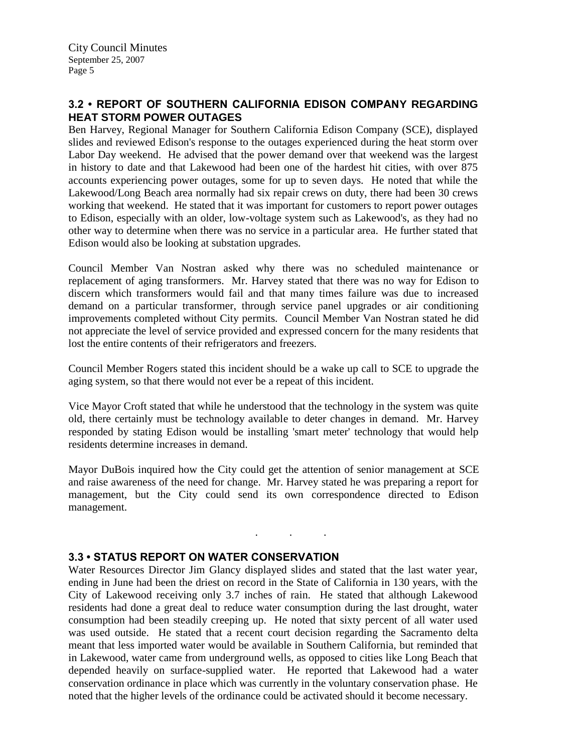# **3.2 • REPORT OF SOUTHERN CALIFORNIA EDISON COMPANY REGARDING HEAT STORM POWER OUTAGES**

Ben Harvey, Regional Manager for Southern California Edison Company (SCE), displayed slides and reviewed Edison's response to the outages experienced during the heat storm over Labor Day weekend. He advised that the power demand over that weekend was the largest in history to date and that Lakewood had been one of the hardest hit cities, with over 875 accounts experiencing power outages, some for up to seven days. He noted that while the Lakewood/Long Beach area normally had six repair crews on duty, there had been 30 crews working that weekend. He stated that it was important for customers to report power outages to Edison, especially with an older, low-voltage system such as Lakewood's, as they had no other way to determine when there was no service in a particular area. He further stated that Edison would also be looking at substation upgrades.

Council Member Van Nostran asked why there was no scheduled maintenance or replacement of aging transformers. Mr. Harvey stated that there was no way for Edison to discern which transformers would fail and that many times failure was due to increased demand on a particular transformer, through service panel upgrades or air conditioning improvements completed without City permits. Council Member Van Nostran stated he did not appreciate the level of service provided and expressed concern for the many residents that lost the entire contents of their refrigerators and freezers.

Council Member Rogers stated this incident should be a wake up call to SCE to upgrade the aging system, so that there would not ever be a repeat of this incident.

Vice Mayor Croft stated that while he understood that the technology in the system was quite old, there certainly must be technology available to deter changes in demand. Mr. Harvey responded by stating Edison would be installing 'smart meter' technology that would help residents determine increases in demand.

Mayor DuBois inquired how the City could get the attention of senior management at SCE and raise awareness of the need for change. Mr. Harvey stated he was preparing a report for management, but the City could send its own correspondence directed to Edison management.

. . .

#### **3.3 • STATUS REPORT ON WATER CONSERVATION**

Water Resources Director Jim Glancy displayed slides and stated that the last water year, ending in June had been the driest on record in the State of California in 130 years, with the City of Lakewood receiving only 3.7 inches of rain. He stated that although Lakewood residents had done a great deal to reduce water consumption during the last drought, water consumption had been steadily creeping up. He noted that sixty percent of all water used was used outside. He stated that a recent court decision regarding the Sacramento delta meant that less imported water would be available in Southern California, but reminded that in Lakewood, water came from underground wells, as opposed to cities like Long Beach that depended heavily on surface-supplied water. He reported that Lakewood had a water conservation ordinance in place which was currently in the voluntary conservation phase. He noted that the higher levels of the ordinance could be activated should it become necessary.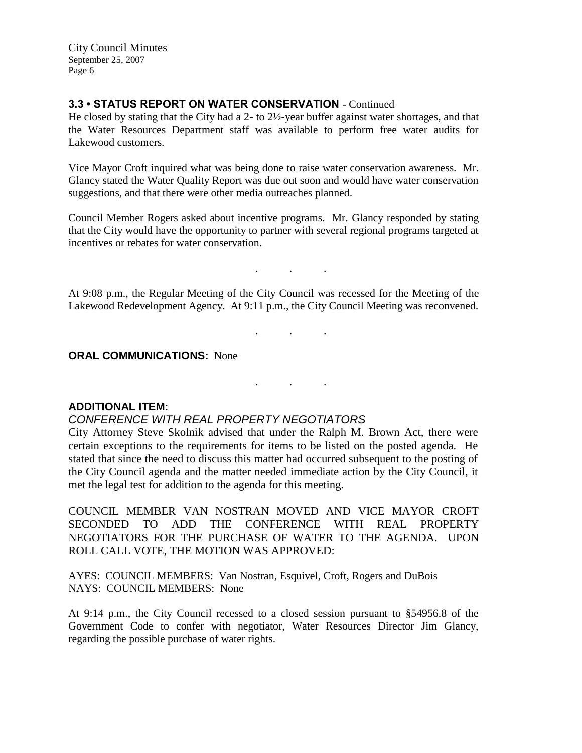City Council Minutes September 25, 2007 Page 6

## **3.3 • STATUS REPORT ON WATER CONSERVATION** - Continued

He closed by stating that the City had a 2- to 2½-year buffer against water shortages, and that the Water Resources Department staff was available to perform free water audits for Lakewood customers.

Vice Mayor Croft inquired what was being done to raise water conservation awareness. Mr. Glancy stated the Water Quality Report was due out soon and would have water conservation suggestions, and that there were other media outreaches planned.

Council Member Rogers asked about incentive programs. Mr. Glancy responded by stating that the City would have the opportunity to partner with several regional programs targeted at incentives or rebates for water conservation.

At 9:08 p.m., the Regular Meeting of the City Council was recessed for the Meeting of the Lakewood Redevelopment Agency. At 9:11 p.m., the City Council Meeting was reconvened.

. . .

. . .

. . .

**ORAL COMMUNICATIONS:** None

#### **ADDITIONAL ITEM:**

#### *CONFERENCE WITH REAL PROPERTY NEGOTIATORS*

City Attorney Steve Skolnik advised that under the Ralph M. Brown Act, there were certain exceptions to the requirements for items to be listed on the posted agenda. He stated that since the need to discuss this matter had occurred subsequent to the posting of the City Council agenda and the matter needed immediate action by the City Council, it met the legal test for addition to the agenda for this meeting.

COUNCIL MEMBER VAN NOSTRAN MOVED AND VICE MAYOR CROFT SECONDED TO ADD THE CONFERENCE WITH REAL PROPERTY NEGOTIATORS FOR THE PURCHASE OF WATER TO THE AGENDA. UPON ROLL CALL VOTE, THE MOTION WAS APPROVED:

AYES: COUNCIL MEMBERS: Van Nostran, Esquivel, Croft, Rogers and DuBois NAYS: COUNCIL MEMBERS: None

At 9:14 p.m., the City Council recessed to a closed session pursuant to §54956.8 of the Government Code to confer with negotiator, Water Resources Director Jim Glancy, regarding the possible purchase of water rights.